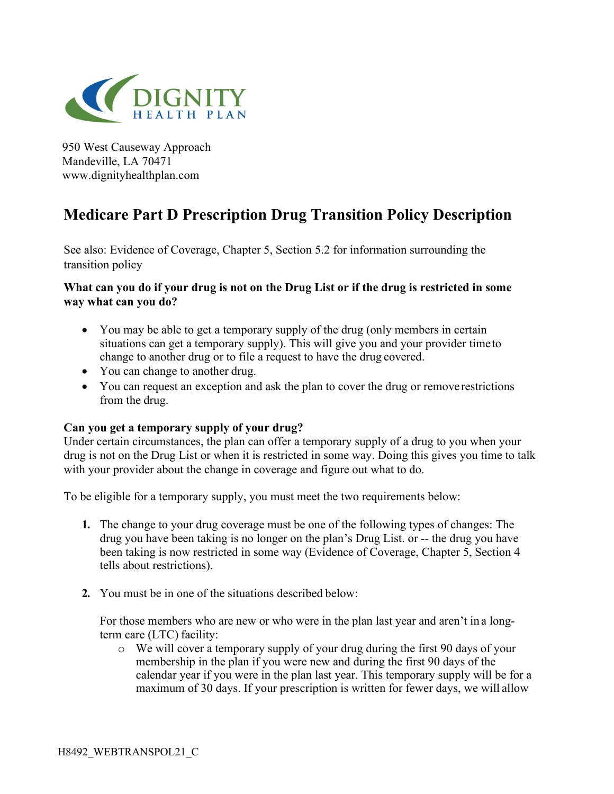

950 West Causeway Approach Mandeville, LA 70471 www.dignityhealthplan.com

# **Medicare Part D Prescription Drug Transition Policy Description**

See also: Evidence of Coverage, Chapter 5, Section 5.2 for information surrounding the transition policy

## **What can you do if your drug is not on the Drug List or if the drug is restricted in some way what can you do?**

- You may be able to get a temporary supply of the drug (only members in certain situations can get a temporary supply). This will give you and your provider time to change to another drug or to file a request to have the drug covered.
- You can change to another drug.
- You can request an exception and ask the plan to cover the drug or remove restrictions from the drug.

### **Can you get a temporary supply of your drug?**

Under certain circumstances, the plan can offer a temporary supply of a drug to you when your drug is not on the Drug List or when it is restricted in some way. Doing this gives you time to talk with your provider about the change in coverage and figure out what to do.

To be eligible for a temporary supply, you must meet the two requirements below:

- **1.** The change to your drug coverage must be one of the following types of changes: The drug you have been taking is no longer on the plan's Drug List. or -- the drug you have been taking is now restricted in some way (Evidence of Coverage, Chapter 5, Section 4 tells about restrictions).
- **2.** You must be in one of the situations described below:

For those members who are new or who were in the plan last year and aren't in a longterm care (LTC) facility:

o We will cover a temporary supply of your drug during the first 90 days of your membership in the plan if you were new and during the first 90 days of the calendar year if you were in the plan last year. This temporary supply will be for a maximum of 30 days. If your prescription is written for fewer days, we will allow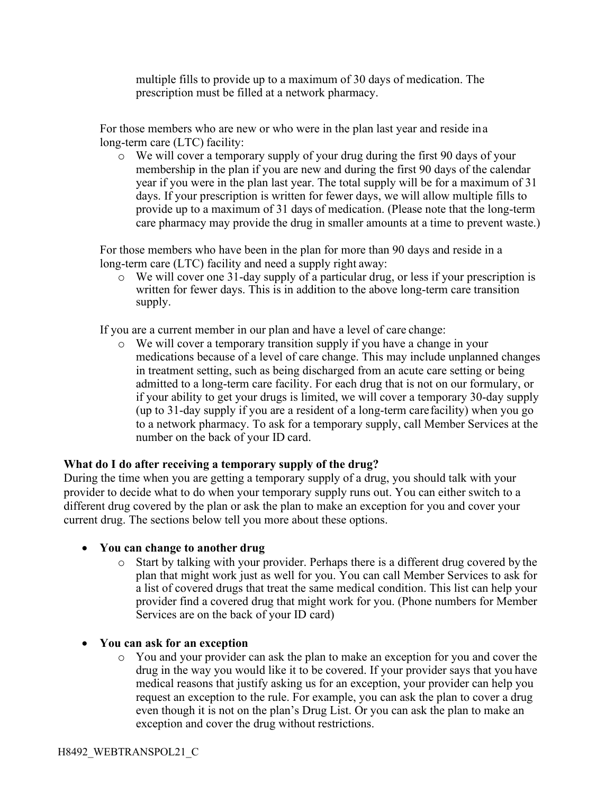multiple fills to provide up to a maximum of 30 days of medication. The prescription must be filled at a network pharmacy.

For those members who are new or who were in the plan last year and reside in a long-term care (LTC) facility:

o We will cover a temporary supply of your drug during the first 90 days of your membership in the plan if you are new and during the first 90 days of the calendar year if you were in the plan last year. The total supply will be for a maximum of 31 days. If your prescription is written for fewer days, we will allow multiple fills to provide up to a maximum of 31 days of medication. (Please note that the long-term care pharmacy may provide the drug in smaller amounts at a time to prevent waste.)

For those members who have been in the plan for more than 90 days and reside in a long-term care (LTC) facility and need a supply right away:

o We will cover one 31-day supply of a particular drug, or less if your prescription is written for fewer days. This is in addition to the above long-term care transition supply.

If you are a current member in our plan and have a level of care change:

o We will cover a temporary transition supply if you have a change in your medications because of a level of care change. This may include unplanned changes in treatment setting, such as being discharged from an acute care setting or being admitted to a long-term care facility. For each drug that is not on our formulary, or if your ability to get your drugs is limited, we will cover a temporary 30-day supply (up to 31-day supply if you are a resident of a long-term care facility) when you go to a network pharmacy. To ask for a temporary supply, call Member Services at the number on the back of your ID card.

### **What do I do after receiving a temporary supply of the drug?**

During the time when you are getting a temporary supply of a drug, you should talk with your provider to decide what to do when your temporary supply runs out. You can either switch to a different drug covered by the plan or ask the plan to make an exception for you and cover your current drug. The sections below tell you more about these options.

### • **You can change to another drug**

- o Start by talking with your provider. Perhaps there is a different drug covered by the plan that might work just as well for you. You can call Member Services to ask for a list of covered drugs that treat the same medical condition. This list can help your provider find a covered drug that might work for you. (Phone numbers for Member Services are on the back of your ID card)
- **You can ask for an exception**
	- o You and your provider can ask the plan to make an exception for you and cover the drug in the way you would like it to be covered. If your provider says that you have medical reasons that justify asking us for an exception, your provider can help you request an exception to the rule. For example, you can ask the plan to cover a drug even though it is not on the plan's Drug List. Or you can ask the plan to make an exception and cover the drug without restrictions.